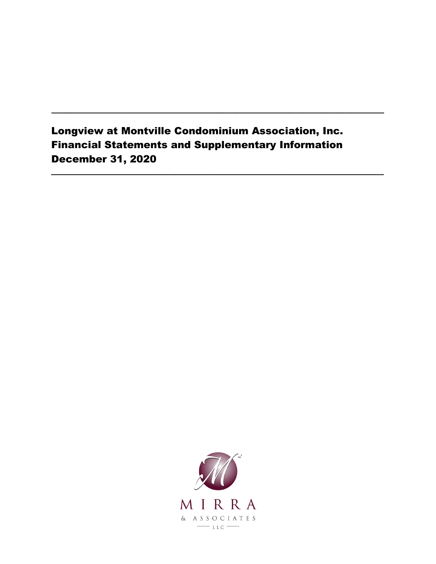# Longview at Montville Condominium Association, Inc. Financial Statements and Supplementary Information December 31, 2020

**\_\_\_\_\_\_\_\_\_\_\_\_\_\_\_\_\_\_\_\_\_\_\_\_\_\_\_\_\_\_\_\_\_\_\_\_\_\_\_\_\_\_\_\_\_\_\_\_\_\_\_\_\_\_\_\_\_\_\_\_\_\_\_\_\_\_\_\_\_\_**

**\_\_\_\_\_\_\_\_\_\_\_\_\_\_\_\_\_\_\_\_\_\_\_\_\_\_\_\_\_\_\_\_\_\_\_\_\_\_\_\_\_\_\_\_\_\_\_\_\_\_\_\_\_\_\_\_\_\_\_\_\_\_\_\_\_\_\_\_\_\_**

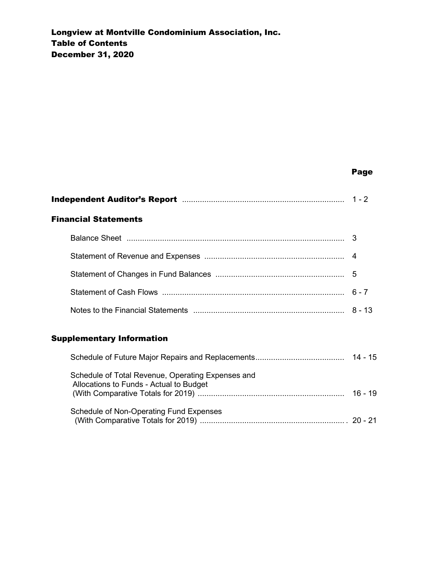#### **Page 2018 Page 2018 Page 2018 Page 2018**

| <b>Financial Statements</b>                                                                  |           |
|----------------------------------------------------------------------------------------------|-----------|
|                                                                                              |           |
|                                                                                              |           |
|                                                                                              |           |
|                                                                                              |           |
|                                                                                              |           |
| <b>Supplementary Information</b>                                                             |           |
|                                                                                              |           |
| Schedule of Total Revenue, Operating Expenses and<br>Allocations to Funds - Actual to Budget | $16 - 19$ |

(With Comparative Totals for 2019) ................................................................. . 20 - 21

Schedule of Non-Operating Fund Expenses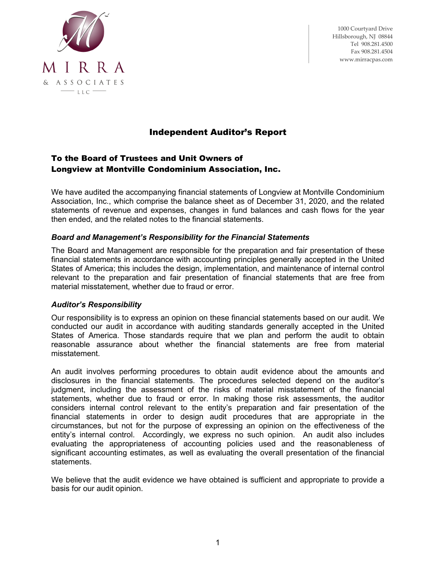

1000 Courtyard Drive Hillsborough, NJ 08844 Tel 908.281.4500 Fax 908.281.4504 www.mirracpas.com

# Independent Auditor's Report

#### To the Board of Trustees and Unit Owners of Longview at Montville Condominium Association, Inc.

We have audited the accompanying financial statements of Longview at Montville Condominium Association, Inc., which comprise the balance sheet as of December 31, 2020, and the related statements of revenue and expenses, changes in fund balances and cash flows for the year then ended, and the related notes to the financial statements.

#### *Board and Management's Responsibility for the Financial Statements*

The Board and Management are responsible for the preparation and fair presentation of these financial statements in accordance with accounting principles generally accepted in the United States of America; this includes the design, implementation, and maintenance of internal control relevant to the preparation and fair presentation of financial statements that are free from material misstatement, whether due to fraud or error.

#### *Auditor's Responsibility*

Our responsibility is to express an opinion on these financial statements based on our audit. We conducted our audit in accordance with auditing standards generally accepted in the United States of America. Those standards require that we plan and perform the audit to obtain reasonable assurance about whether the financial statements are free from material misstatement.

An audit involves performing procedures to obtain audit evidence about the amounts and disclosures in the financial statements. The procedures selected depend on the auditor's judgment, including the assessment of the risks of material misstatement of the financial statements, whether due to fraud or error. In making those risk assessments, the auditor considers internal control relevant to the entity's preparation and fair presentation of the financial statements in order to design audit procedures that are appropriate in the circumstances, but not for the purpose of expressing an opinion on the effectiveness of the entity's internal control. Accordingly, we express no such opinion. An audit also includes evaluating the appropriateness of accounting policies used and the reasonableness of significant accounting estimates, as well as evaluating the overall presentation of the financial statements.

We believe that the audit evidence we have obtained is sufficient and appropriate to provide a basis for our audit opinion.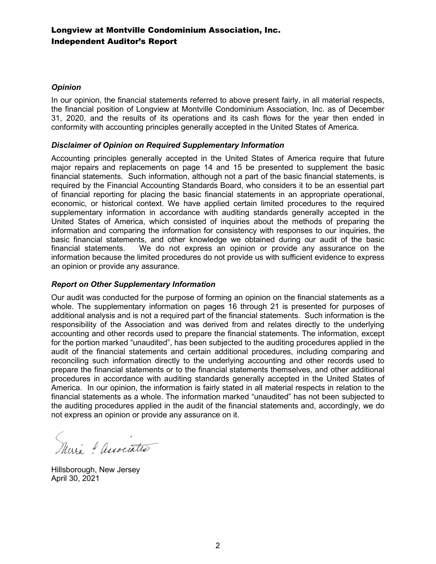### Longview at Montville Condominium Association, Inc. Independent Auditor's Report

#### *Opinion*

In our opinion, the financial statements referred to above present fairly, in all material respects, the financial position of Longview at Montville Condominium Association, Inc. as of December 31, 2020, and the results of its operations and its cash flows for the year then ended in conformity with accounting principles generally accepted in the United States of America.

#### *Disclaimer of Opinion on Required Supplementary Information*

Accounting principles generally accepted in the United States of America require that future major repairs and replacements on page 14 and 15 be presented to supplement the basic financial statements. Such information, although not a part of the basic financial statements, is required by the Financial Accounting Standards Board, who considers it to be an essential part of financial reporting for placing the basic financial statements in an appropriate operational, economic, or historical context. We have applied certain limited procedures to the required supplementary information in accordance with auditing standards generally accepted in the United States of America, which consisted of inquiries about the methods of preparing the information and comparing the information for consistency with responses to our inquiries, the basic financial statements, and other knowledge we obtained during our audit of the basic financial statements. We do not express an opinion or provide any assurance on the information because the limited procedures do not provide us with sufficient evidence to express an opinion or provide any assurance.

#### *Report on Other Supplementary Information*

Our audit was conducted for the purpose of forming an opinion on the financial statements as a whole. The supplementary information on pages 16 through 21 is presented for purposes of additional analysis and is not a required part of the financial statements. Such information is the responsibility of the Association and was derived from and relates directly to the underlying accounting and other records used to prepare the financial statements. The information, except for the portion marked "unaudited", has been subjected to the auditing procedures applied in the audit of the financial statements and certain additional procedures, including comparing and reconciling such information directly to the underlying accounting and other records used to prepare the financial statements or to the financial statements themselves, and other additional procedures in accordance with auditing standards generally accepted in the United States of America. In our opinion, the information is fairly stated in all material respects in relation to the financial statements as a whole. The information marked "unaudited" has not been subjected to the auditing procedures applied in the audit of the financial statements and, accordingly, we do not express an opinion or provide any assurance on it.

Muri ? associates

Hillsborough, New Jersey April 30, 2021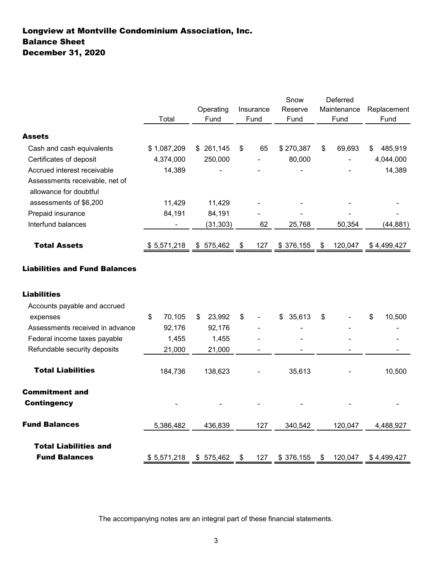# Longview at Montville Condominium Association, Inc. December 31, 2020 Balance Sheet

|                                 |                | Operating    | Insurance | Snow            | Deferred<br>Maintenance | Replacement   |
|---------------------------------|----------------|--------------|-----------|-----------------|-------------------------|---------------|
|                                 | Total          | Fund         | Fund      | Reserve<br>Fund | Fund                    | Fund          |
| <b>Assets</b>                   |                |              |           |                 |                         |               |
| Cash and cash equivalents       | \$1,087,209    | \$261,145    | \$<br>65  | \$270,387       | \$<br>69,693            | 485,919<br>\$ |
| Certificates of deposit         | 4,374,000      | 250,000      |           | 80,000          |                         | 4,044,000     |
| Accrued interest receivable     | 14,389         |              |           |                 |                         | 14,389        |
| Assessments receivable, net of  |                |              |           |                 |                         |               |
| allowance for doubtful          |                |              |           |                 |                         |               |
| assessments of \$6,200          | 11,429         | 11,429       |           |                 |                         |               |
| Prepaid insurance               | 84,191         | 84,191       |           |                 |                         |               |
| Interfund balances              | $\blacksquare$ | (31, 303)    | 62        | 25,768          | 50,354                  | (44, 881)     |
| <b>Total Assets</b>             | \$5,571,218    | \$575,462    | 127<br>\$ | \$376,155       | 120,047<br>\$           | \$4,499,427   |
| <b>Liabilities</b>              |                |              |           |                 |                         |               |
|                                 |                |              |           |                 |                         |               |
| Accounts payable and accrued    |                |              |           |                 |                         |               |
| expenses                        | 70,105<br>\$   | 23,992<br>\$ | \$        | 35,613<br>\$    | \$                      | \$<br>10,500  |
| Assessments received in advance | 92,176         | 92,176       |           |                 |                         |               |
| Federal income taxes payable    | 1,455          | 1,455        |           |                 |                         |               |
| Refundable security deposits    | 21,000         | 21,000       |           |                 |                         |               |
| <b>Total Liabilities</b>        | 184,736        | 138,623      |           | 35,613          |                         | 10,500        |
| <b>Commitment and</b>           |                |              |           |                 |                         |               |
| <b>Contingency</b>              |                |              |           |                 |                         |               |
| <b>Fund Balances</b>            | 5,386,482      | 436,839      | 127       | 340,542         | 120,047                 | 4,488,927     |
| <b>Total Liabilities and</b>    |                |              |           |                 |                         |               |
| <b>Fund Balances</b>            | \$5,571,218    | \$575,462    | \$<br>127 | \$376,155       | 120,047<br>\$           | \$4,499,427   |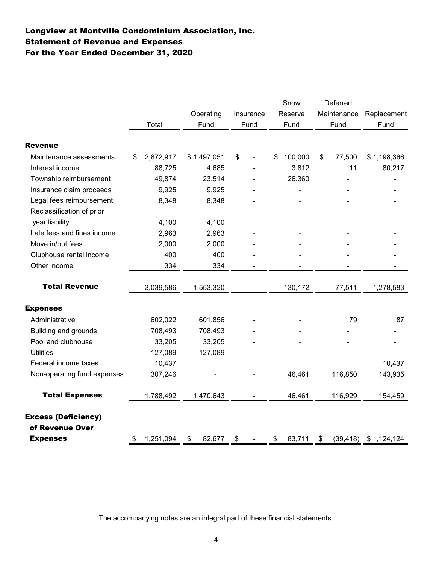# Longview at Montville Condominium Association, Inc. For the Year Ended December 31, 2020 Statement of Revenue and Expenses

|                             |                 |              |           | Snow          | Deferred     |                          |
|-----------------------------|-----------------|--------------|-----------|---------------|--------------|--------------------------|
|                             |                 | Operating    | Insurance | Reserve       | Maintenance  | Replacement              |
|                             | Total           | Fund         | Fund      | Fund          | Fund         | Fund                     |
| <b>Revenue</b>              |                 |              |           |               |              |                          |
| Maintenance assessments     | \$<br>2,872,917 | \$1,497,051  | \$        | \$<br>100,000 | \$<br>77,500 | \$1,198,366              |
| Interest income             | 88,725          | 4,685        |           | 3,812         | 11           | 80,217                   |
| Township reimbursement      | 49,874          | 23,514       |           | 26,360        |              |                          |
| Insurance claim proceeds    | 9,925           | 9,925        |           |               |              |                          |
| Legal fees reimbursement    | 8,348           | 8,348        |           |               |              |                          |
| Reclassification of prior   |                 |              |           |               |              |                          |
| year liability              | 4,100           | 4,100        |           |               |              |                          |
| Late fees and fines income  | 2,963           | 2,963        |           |               |              |                          |
| Move in/out fees            | 2,000           | 2,000        |           |               |              |                          |
| Clubhouse rental income     | 400             | 400          |           |               |              |                          |
| Other income                | 334             | 334          |           |               |              |                          |
| <b>Total Revenue</b>        | 3,039,586       | 1,553,320    |           | 130,172       | 77,511       | 1,278,583                |
| <b>Expenses</b>             |                 |              |           |               |              |                          |
| Administrative              | 602,022         | 601,856      |           |               | 79           | 87                       |
| <b>Building and grounds</b> | 708,493         | 708,493      |           |               |              |                          |
| Pool and clubhouse          | 33,205          | 33,205       |           |               |              |                          |
| <b>Utilities</b>            | 127,089         | 127,089      |           |               |              |                          |
| Federal income taxes        | 10,437          |              |           |               |              | 10,437                   |
| Non-operating fund expenses | 307,246         |              |           | 46,461        | 116,850      | 143,935                  |
| <b>Total Expenses</b>       | 1,788,492       | 1,470,643    |           | 46,461        | 116,929      | 154,459                  |
| <b>Excess (Deficiency)</b>  |                 |              |           |               |              |                          |
| of Revenue Over             |                 |              |           |               |              |                          |
| <b>Expenses</b>             | \$<br>1,251,094 | \$<br>82,677 | \$        | \$<br>83,711  | \$           | $(39, 418)$ \$ 1,124,124 |
|                             |                 |              |           |               |              |                          |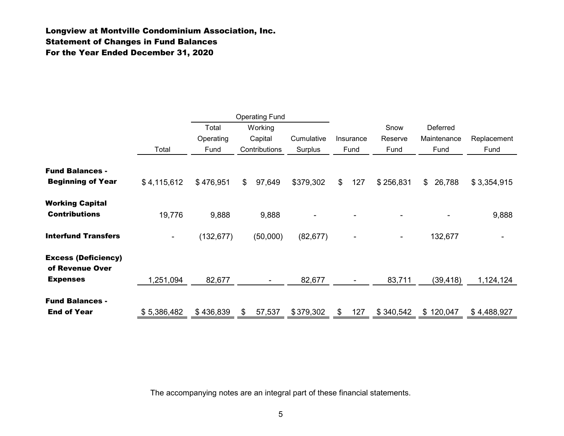### Longview at Montville Condominium Association, Inc. Statement of Changes in Fund Balances For the Year Ended December 31, 2020

|                                                    |                |                            | <b>Operating Fund</b>               |                       |                |                   |                         |                                 |                     |
|----------------------------------------------------|----------------|----------------------------|-------------------------------------|-----------------------|----------------|-------------------|-------------------------|---------------------------------|---------------------|
|                                                    | Total          | Total<br>Operating<br>Fund | Working<br>Capital<br>Contributions | Cumulative<br>Surplus |                | Insurance<br>Fund | Snow<br>Reserve<br>Fund | Deferred<br>Maintenance<br>Fund | Replacement<br>Fund |
| <b>Fund Balances -</b><br><b>Beginning of Year</b> | \$4,115,612    | \$476,951                  | \$<br>97,649                        | \$379,302             | $\mathfrak{S}$ | 127               | \$256,831               | 26,788<br>\$                    | \$3,354,915         |
| <b>Working Capital</b><br><b>Contributions</b>     | 19,776         | 9,888                      | 9,888                               |                       |                |                   |                         |                                 | 9,888               |
| <b>Interfund Transfers</b>                         | $\blacksquare$ | (132, 677)                 | (50,000)                            | (82, 677)             |                | ۰                 | $\blacksquare$          | 132,677                         |                     |
| <b>Excess (Deficiency)</b><br>of Revenue Over      |                |                            |                                     |                       |                |                   |                         |                                 |                     |
| <b>Expenses</b>                                    | 1,251,094      | 82,677                     | $\blacksquare$                      | 82,677                |                | $\blacksquare$    | 83,711                  | (39,418)                        | 1,124,124           |
| <b>Fund Balances -</b><br><b>End of Year</b>       | \$5,386,482    | \$436,839                  | \$<br>57,537                        | \$379,302             | \$             | 127               | \$340,542               | 120,047<br>\$                   | \$4,488,927         |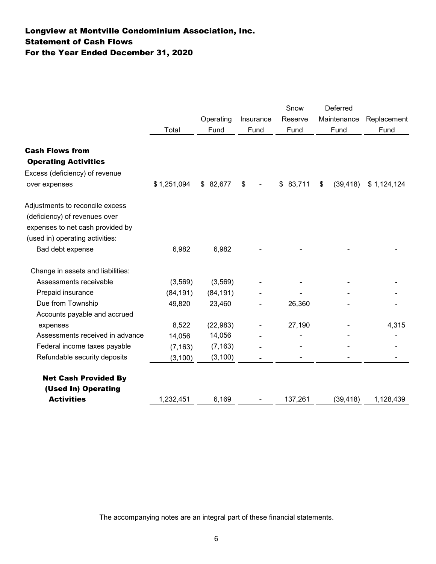# Longview at Montville Condominium Association, Inc. For the Year Ended December 31, 2020 Statement of Cash Flows

|                                   |             |           |           | Snow     | Deferred        |             |
|-----------------------------------|-------------|-----------|-----------|----------|-----------------|-------------|
|                                   |             | Operating | Insurance | Reserve  | Maintenance     | Replacement |
|                                   | Total       | Fund      | Fund      | Fund     | Fund            | Fund        |
|                                   |             |           |           |          |                 |             |
| <b>Cash Flows from</b>            |             |           |           |          |                 |             |
| <b>Operating Activities</b>       |             |           |           |          |                 |             |
| Excess (deficiency) of revenue    |             |           |           |          |                 |             |
| over expenses                     | \$1,251,094 | \$82,677  | \$        | \$83,711 | \$<br>(39, 418) | \$1,124,124 |
| Adjustments to reconcile excess   |             |           |           |          |                 |             |
| (deficiency) of revenues over     |             |           |           |          |                 |             |
| expenses to net cash provided by  |             |           |           |          |                 |             |
| (used in) operating activities:   |             |           |           |          |                 |             |
| Bad debt expense                  | 6,982       | 6,982     |           |          |                 |             |
| Change in assets and liabilities: |             |           |           |          |                 |             |
| Assessments receivable            | (3, 569)    | (3, 569)  |           |          |                 |             |
| Prepaid insurance                 | (84, 191)   | (84, 191) |           |          |                 |             |
| Due from Township                 | 49,820      | 23,460    |           | 26,360   |                 |             |
| Accounts payable and accrued      |             |           |           |          |                 |             |
| expenses                          | 8,522       | (22, 983) |           | 27,190   |                 | 4,315       |
| Assessments received in advance   | 14,056      | 14,056    |           |          |                 |             |
| Federal income taxes payable      | (7, 163)    | (7, 163)  |           |          |                 |             |
| Refundable security deposits      | (3, 100)    | (3, 100)  |           |          |                 |             |
| <b>Net Cash Provided By</b>       |             |           |           |          |                 |             |
| (Used In) Operating               |             |           |           |          |                 |             |
| <b>Activities</b>                 | 1,232,451   | 6,169     |           | 137,261  | (39, 418)       | 1,128,439   |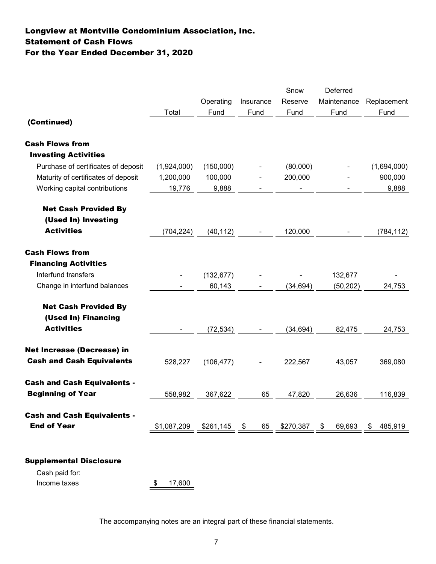# Statement of Cash Flows Longview at Montville Condominium Association, Inc. For the Year Ended December 31, 2020

|                                     |             | Operating  | Insurance  | Snow<br>Reserve | Deferred<br>Maintenance | Replacement   |
|-------------------------------------|-------------|------------|------------|-----------------|-------------------------|---------------|
| (Continued)                         | Total       | Fund       | Fund       | Fund            | Fund                    | Fund          |
| <b>Cash Flows from</b>              |             |            |            |                 |                         |               |
| <b>Investing Activities</b>         |             |            |            |                 |                         |               |
| Purchase of certificates of deposit | (1,924,000) | (150,000)  |            | (80,000)        |                         | (1,694,000)   |
| Maturity of certificates of deposit | 1,200,000   | 100,000    |            | 200,000         |                         | 900,000       |
| Working capital contributions       | 19,776      | 9,888      |            |                 |                         | 9,888         |
| <b>Net Cash Provided By</b>         |             |            |            |                 |                         |               |
| (Used In) Investing                 |             |            |            |                 |                         |               |
| <b>Activities</b>                   | (704, 224)  | (40, 112)  |            | 120,000         |                         | (784, 112)    |
| <b>Cash Flows from</b>              |             |            |            |                 |                         |               |
| <b>Financing Activities</b>         |             |            |            |                 |                         |               |
| Interfund transfers                 |             | (132, 677) |            |                 | 132,677                 |               |
| Change in interfund balances        |             | 60,143     |            | (34, 694)       | (50, 202)               | 24,753        |
| <b>Net Cash Provided By</b>         |             |            |            |                 |                         |               |
| (Used In) Financing                 |             |            |            |                 |                         |               |
| <b>Activities</b>                   |             | (72, 534)  |            | (34, 694)       | 82,475                  | 24,753        |
| <b>Net Increase (Decrease) in</b>   |             |            |            |                 |                         |               |
| <b>Cash and Cash Equivalents</b>    | 528,227     | (106, 477) |            | 222,567         | 43,057                  | 369,080       |
| <b>Cash and Cash Equivalents -</b>  |             |            |            |                 |                         |               |
| <b>Beginning of Year</b>            | 558,982     | 367,622    | 65         | 47,820          | 26,636                  | 116,839       |
| <b>Cash and Cash Equivalents -</b>  |             |            |            |                 |                         |               |
| <b>End of Year</b>                  | \$1,087,209 | \$261,145  | 65<br>- \$ | \$270,387       | 69,693<br>\$            | 485,919<br>\$ |
|                                     |             |            |            |                 |                         |               |
| <b>Supplemental Disclosure</b>      |             |            |            |                 |                         |               |
| Cash paid for:                      |             |            |            |                 |                         |               |

Income taxes  $\frac{\$}{17,600}$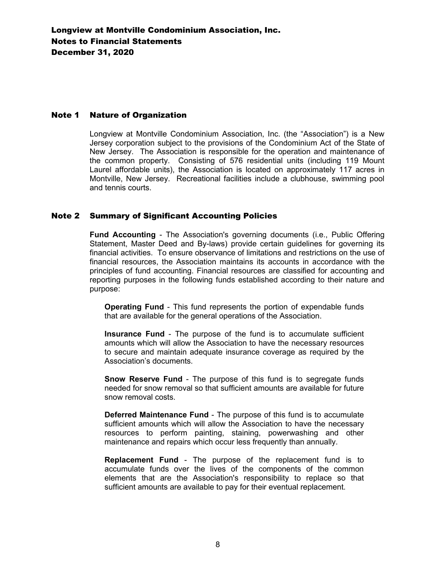#### Note 1 Nature of Organization

Longview at Montville Condominium Association, Inc. (the "Association") is a New Jersey corporation subject to the provisions of the Condominium Act of the State of New Jersey. The Association is responsible for the operation and maintenance of the common property. Consisting of 576 residential units (including 119 Mount Laurel affordable units), the Association is located on approximately 117 acres in Montville, New Jersey. Recreational facilities include a clubhouse, swimming pool and tennis courts.

#### Note 2 Summary of Significant Accounting Policies

**Fund Accounting** - The Association's governing documents (i.e., Public Offering Statement, Master Deed and By-laws) provide certain guidelines for governing its financial activities. To ensure observance of limitations and restrictions on the use of financial resources, the Association maintains its accounts in accordance with the principles of fund accounting. Financial resources are classified for accounting and reporting purposes in the following funds established according to their nature and purpose:

**Operating Fund** - This fund represents the portion of expendable funds that are available for the general operations of the Association.

**Insurance Fund** - The purpose of the fund is to accumulate sufficient amounts which will allow the Association to have the necessary resources to secure and maintain adequate insurance coverage as required by the Association's documents.

**Snow Reserve Fund** - The purpose of this fund is to segregate funds needed for snow removal so that sufficient amounts are available for future snow removal costs.

**Deferred Maintenance Fund** - The purpose of this fund is to accumulate sufficient amounts which will allow the Association to have the necessary resources to perform painting, staining, powerwashing and other maintenance and repairs which occur less frequently than annually.

**Replacement Fund** - The purpose of the replacement fund is to accumulate funds over the lives of the components of the common elements that are the Association's responsibility to replace so that sufficient amounts are available to pay for their eventual replacement.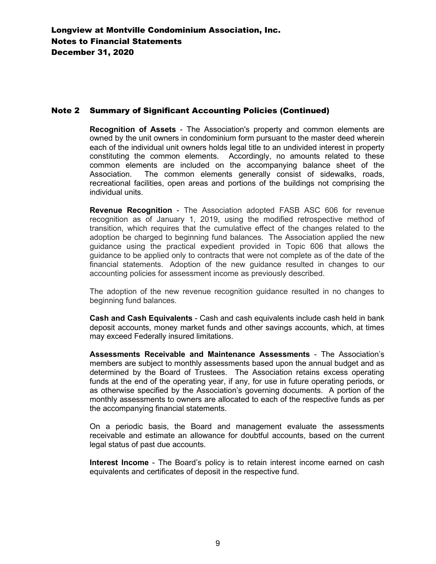#### Note 2 Summary of Significant Accounting Policies (Continued)

**Recognition of Assets** - The Association's property and common elements are owned by the unit owners in condominium form pursuant to the master deed wherein each of the individual unit owners holds legal title to an undivided interest in property constituting the common elements. Accordingly, no amounts related to these common elements are included on the accompanying balance sheet of the Association. The common elements generally consist of sidewalks, roads, recreational facilities, open areas and portions of the buildings not comprising the individual units.

**Revenue Recognition** - The Association adopted FASB ASC 606 for revenue recognition as of January 1, 2019, using the modified retrospective method of transition, which requires that the cumulative effect of the changes related to the adoption be charged to beginning fund balances. The Association applied the new guidance using the practical expedient provided in Topic 606 that allows the guidance to be applied only to contracts that were not complete as of the date of the financial statements. Adoption of the new guidance resulted in changes to our accounting policies for assessment income as previously described.

The adoption of the new revenue recognition guidance resulted in no changes to beginning fund balances.

**Cash and Cash Equivalents** - Cash and cash equivalents include cash held in bank deposit accounts, money market funds and other savings accounts, which, at times may exceed Federally insured limitations.

**Assessments Receivable and Maintenance Assessments** - The Association's members are subject to monthly assessments based upon the annual budget and as determined by the Board of Trustees. The Association retains excess operating funds at the end of the operating year, if any, for use in future operating periods, or as otherwise specified by the Association's governing documents. A portion of the monthly assessments to owners are allocated to each of the respective funds as per the accompanying financial statements.

On a periodic basis, the Board and management evaluate the assessments receivable and estimate an allowance for doubtful accounts, based on the current legal status of past due accounts.

**Interest Income** - The Board's policy is to retain interest income earned on cash equivalents and certificates of deposit in the respective fund.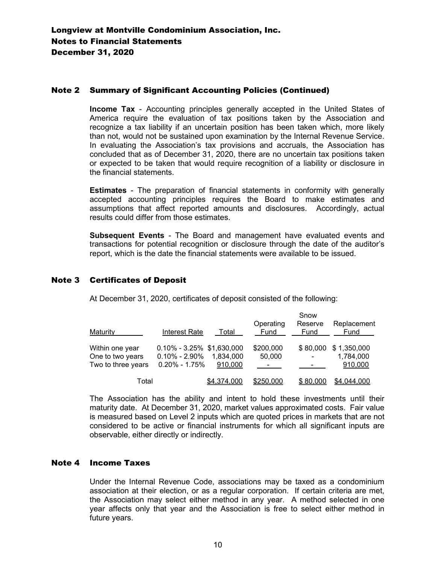#### Note 2 Summary of Significant Accounting Policies (Continued)

**Income Tax** - Accounting principles generally accepted in the United States of America require the evaluation of tax positions taken by the Association and recognize a tax liability if an uncertain position has been taken which, more likely than not, would not be sustained upon examination by the Internal Revenue Service. In evaluating the Association's tax provisions and accruals, the Association has concluded that as of December 31, 2020, there are no uncertain tax positions taken or expected to be taken that would require recognition of a liability or disclosure in the financial statements.

**Estimates** - The preparation of financial statements in conformity with generally accepted accounting principles requires the Board to make estimates and assumptions that affect reported amounts and disclosures. Accordingly, actual results could differ from those estimates.

**Subsequent Events** - The Board and management have evaluated events and transactions for potential recognition or disclosure through the date of the auditor's report, which is the date the financial statements were available to be issued.

#### Note 3 Certificates of Deposit

At December 31, 2020, certificates of deposit consisted of the following:

|                    |                               |             | Operating      | Snow<br>Reserve | Replacement |
|--------------------|-------------------------------|-------------|----------------|-----------------|-------------|
| Maturity           | Interest Rate                 | Total       | Fund           | Fund            | Fund        |
| Within one year    | $0.10\% - 3.25\%$ \$1,630,000 |             | \$200,000      | \$80,000        | \$1,350,000 |
| One to two years   | $0.10\% - 2.90\%$             | 1.834.000   | 50,000         |                 | 1,784,000   |
| Two to three years | $0.20\% - 1.75\%$             | 910,000     | $\blacksquare$ |                 | 910,000     |
| Total              |                               | \$4,374,000 | \$250,000      | \$80,000        | \$4,044,000 |

The Association has the ability and intent to hold these investments until their maturity date. At December 31, 2020, market values approximated costs. Fair value is measured based on Level 2 inputs which are quoted prices in markets that are not considered to be active or financial instruments for which all significant inputs are observable, either directly or indirectly.

#### Note 4 Income Taxes

Under the Internal Revenue Code, associations may be taxed as a condominium association at their election, or as a regular corporation. If certain criteria are met, the Association may select either method in any year. A method selected in one year affects only that year and the Association is free to select either method in future years.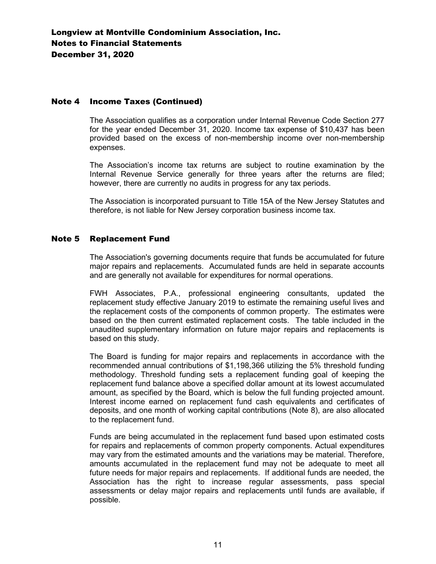#### Note 4 Income Taxes (Continued)

The Association qualifies as a corporation under Internal Revenue Code Section 277 for the year ended December 31, 2020. Income tax expense of \$10,437 has been provided based on the excess of non-membership income over non-membership expenses.

The Association's income tax returns are subject to routine examination by the Internal Revenue Service generally for three years after the returns are filed; however, there are currently no audits in progress for any tax periods.

The Association is incorporated pursuant to Title 15A of the New Jersey Statutes and therefore, is not liable for New Jersey corporation business income tax.

#### Note 5 Replacement Fund

The Association's governing documents require that funds be accumulated for future major repairs and replacements. Accumulated funds are held in separate accounts and are generally not available for expenditures for normal operations.

FWH Associates, P.A., professional engineering consultants, updated the replacement study effective January 2019 to estimate the remaining useful lives and the replacement costs of the components of common property. The estimates were based on the then current estimated replacement costs. The table included in the unaudited supplementary information on future major repairs and replacements is based on this study.

The Board is funding for major repairs and replacements in accordance with the recommended annual contributions of \$1,198,366 utilizing the 5% threshold funding methodology. Threshold funding sets a replacement funding goal of keeping the replacement fund balance above a specified dollar amount at its lowest accumulated amount, as specified by the Board, which is below the full funding projected amount. Interest income earned on replacement fund cash equivalents and certificates of deposits, and one month of working capital contributions (Note 8), are also allocated to the replacement fund.

Funds are being accumulated in the replacement fund based upon estimated costs for repairs and replacements of common property components. Actual expenditures may vary from the estimated amounts and the variations may be material. Therefore, amounts accumulated in the replacement fund may not be adequate to meet all future needs for major repairs and replacements. If additional funds are needed, the Association has the right to increase regular assessments, pass special assessments or delay major repairs and replacements until funds are available, if possible.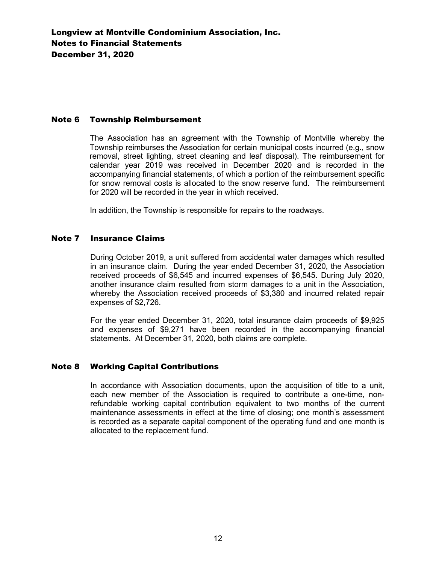#### Note 6 Township Reimbursement

The Association has an agreement with the Township of Montville whereby the Township reimburses the Association for certain municipal costs incurred (e.g., snow removal, street lighting, street cleaning and leaf disposal). The reimbursement for calendar year 2019 was received in December 2020 and is recorded in the accompanying financial statements, of which a portion of the reimbursement specific for snow removal costs is allocated to the snow reserve fund. The reimbursement for 2020 will be recorded in the year in which received.

In addition, the Township is responsible for repairs to the roadways.

#### Note 7 Insurance Claims

During October 2019, a unit suffered from accidental water damages which resulted in an insurance claim. During the year ended December 31, 2020, the Association received proceeds of \$6,545 and incurred expenses of \$6,545. During July 2020, another insurance claim resulted from storm damages to a unit in the Association, whereby the Association received proceeds of \$3,380 and incurred related repair expenses of \$2,726.

For the year ended December 31, 2020, total insurance claim proceeds of \$9,925 and expenses of \$9,271 have been recorded in the accompanying financial statements. At December 31, 2020, both claims are complete.

### Note 8 Working Capital Contributions

In accordance with Association documents, upon the acquisition of title to a unit, each new member of the Association is required to contribute a one-time, nonrefundable working capital contribution equivalent to two months of the current maintenance assessments in effect at the time of closing; one month's assessment is recorded as a separate capital component of the operating fund and one month is allocated to the replacement fund.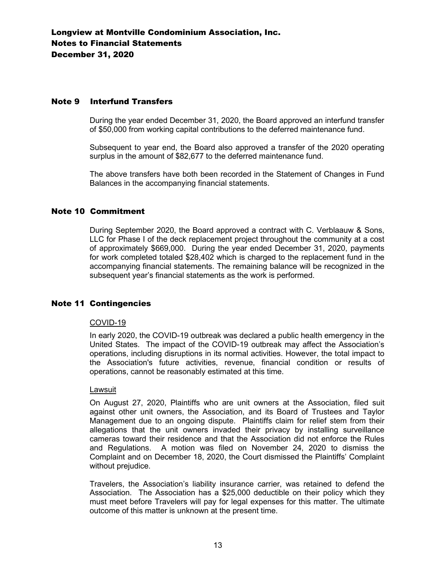#### Note 9 Interfund Transfers

During the year ended December 31, 2020, the Board approved an interfund transfer of \$50,000 from working capital contributions to the deferred maintenance fund.

Subsequent to year end, the Board also approved a transfer of the 2020 operating surplus in the amount of \$82,677 to the deferred maintenance fund.

The above transfers have both been recorded in the Statement of Changes in Fund Balances in the accompanying financial statements.

#### Note 10 Commitment

During September 2020, the Board approved a contract with C. Verblaauw & Sons, LLC for Phase I of the deck replacement project throughout the community at a cost of approximately \$669,000. During the year ended December 31, 2020, payments for work completed totaled \$28,402 which is charged to the replacement fund in the accompanying financial statements. The remaining balance will be recognized in the subsequent year's financial statements as the work is performed.

#### Note 11 Contingencies

#### COVID-19

In early 2020, the COVID-19 outbreak was declared a public health emergency in the United States. The impact of the COVID-19 outbreak may affect the Association's operations, including disruptions in its normal activities. However, the total impact to the Association's future activities, revenue, financial condition or results of operations, cannot be reasonably estimated at this time.

#### Lawsuit

On August 27, 2020, Plaintiffs who are unit owners at the Association, filed suit against other unit owners, the Association, and its Board of Trustees and Taylor Management due to an ongoing dispute. Plaintiffs claim for relief stem from their allegations that the unit owners invaded their privacy by installing surveillance cameras toward their residence and that the Association did not enforce the Rules and Regulations. A motion was filed on November 24, 2020 to dismiss the Complaint and on December 18, 2020, the Court dismissed the Plaintiffs' Complaint without prejudice.

Travelers, the Association's liability insurance carrier, was retained to defend the Association. The Association has a \$25,000 deductible on their policy which they must meet before Travelers will pay for legal expenses for this matter. The ultimate outcome of this matter is unknown at the present time.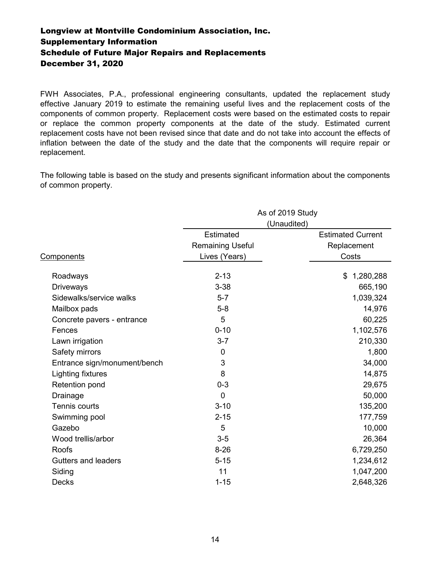### Supplementary Information Longview at Montville Condominium Association, Inc. Schedule of Future Major Repairs and Replacements December 31, 2020

FWH Associates, P.A., professional engineering consultants, updated the replacement study effective January 2019 to estimate the remaining useful lives and the replacement costs of the components of common property. Replacement costs were based on the estimated costs to repair or replace the common property components at the date of the study. Estimated current replacement costs have not been revised since that date and do not take into account the effects of inflation between the date of the study and the date that the components will require repair or replacement.

The following table is based on the study and presents significant information about the components of common property.

|                              |                         | As of 2019 Study         |
|------------------------------|-------------------------|--------------------------|
|                              |                         | (Unaudited)              |
|                              | Estimated               | <b>Estimated Current</b> |
|                              | <b>Remaining Useful</b> | Replacement              |
| Components                   | Lives (Years)           | Costs                    |
| Roadways                     | $2 - 13$                | 1,280,288<br>\$          |
| <b>Driveways</b>             | $3 - 38$                | 665,190                  |
| Sidewalks/service walks      | $5 - 7$                 | 1,039,324                |
| Mailbox pads                 | $5-8$                   | 14,976                   |
| Concrete pavers - entrance   | 5                       | 60,225                   |
| Fences                       | $0 - 10$                | 1,102,576                |
| Lawn irrigation              | $3 - 7$                 | 210,330                  |
| Safety mirrors               | 0                       | 1,800                    |
| Entrance sign/monument/bench | 3                       | 34,000                   |
| Lighting fixtures            | 8                       | 14,875                   |
| Retention pond               | $0 - 3$                 | 29,675                   |
| Drainage                     | $\overline{0}$          | 50,000                   |
| <b>Tennis courts</b>         | $3 - 10$                | 135,200                  |
| Swimming pool                | $2 - 15$                | 177,759                  |
| Gazebo                       | 5                       | 10,000                   |
| Wood trellis/arbor           | $3-5$                   | 26,364                   |
| <b>Roofs</b>                 | $8 - 26$                | 6,729,250                |
| <b>Gutters and leaders</b>   | $5 - 15$                | 1,234,612                |
| Siding                       | 11                      | 1,047,200                |
| <b>Decks</b>                 | $1 - 15$                | 2,648,326                |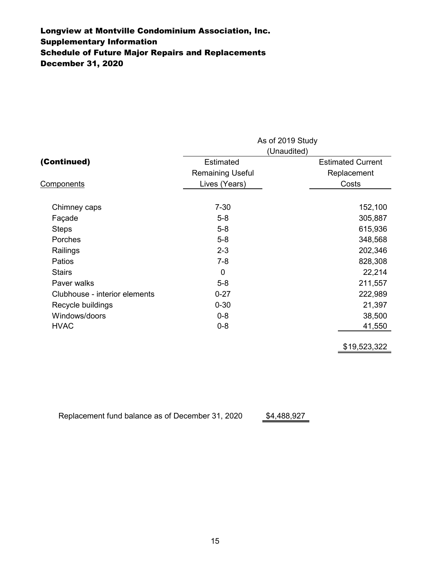# Schedule of Future Major Repairs and Replacements Supplementary Information Longview at Montville Condominium Association, Inc. December 31, 2020

|                               |                         | As of 2019 Study         |  |  |  |  |
|-------------------------------|-------------------------|--------------------------|--|--|--|--|
|                               | (Unaudited)             |                          |  |  |  |  |
| (Continued)                   | Estimated               | <b>Estimated Current</b> |  |  |  |  |
|                               | <b>Remaining Useful</b> | Replacement              |  |  |  |  |
| <b>Components</b>             | Lives (Years)           | Costs                    |  |  |  |  |
| Chimney caps                  | $7 - 30$                | 152,100                  |  |  |  |  |
| Façade                        | $5-8$                   | 305,887                  |  |  |  |  |
| <b>Steps</b>                  | $5-8$                   | 615,936                  |  |  |  |  |
| Porches                       | $5-8$                   | 348,568                  |  |  |  |  |
| Railings                      | $2 - 3$                 | 202,346                  |  |  |  |  |
| Patios                        | $7 - 8$                 | 828,308                  |  |  |  |  |
| <b>Stairs</b>                 | 0                       | 22,214                   |  |  |  |  |
| Paver walks                   | $5-8$                   | 211,557                  |  |  |  |  |
| Clubhouse - interior elements | $0 - 27$                | 222,989                  |  |  |  |  |
| Recycle buildings             | $0 - 30$                | 21,397                   |  |  |  |  |
| Windows/doors                 | $0 - 8$                 | 38,500                   |  |  |  |  |
| <b>HVAC</b>                   | $0 - 8$                 | 41,550                   |  |  |  |  |
|                               |                         |                          |  |  |  |  |

\$19,523,322

\$4,488,927 Replacement fund balance as of December 31, 2020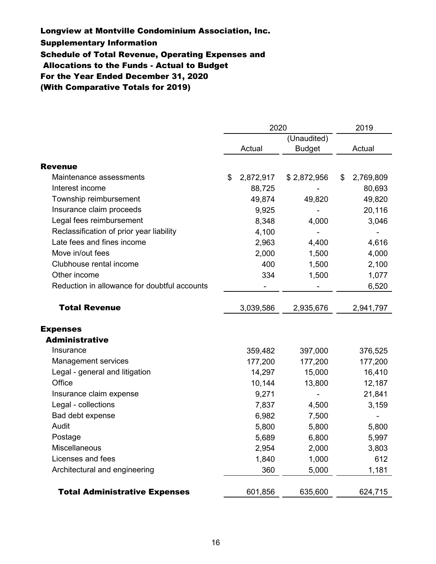### Longview at Montville Condominium Association, Inc.

Supplementary Information

Schedule of Total Revenue, Operating Expenses and

Allocations to the Funds - Actual to Budget

For the Year Ended December 31, 2020

(With Comparative Totals for 2019)

|                                              | 2020 |           |               |    | 2019      |  |
|----------------------------------------------|------|-----------|---------------|----|-----------|--|
|                                              |      |           | (Unaudited)   |    |           |  |
|                                              |      | Actual    | <b>Budget</b> |    | Actual    |  |
| <b>Revenue</b>                               |      |           |               |    |           |  |
| Maintenance assessments                      | \$   | 2,872,917 | \$2,872,956   | \$ | 2,769,809 |  |
| Interest income                              |      | 88,725    |               |    | 80,693    |  |
| Township reimbursement                       |      | 49,874    | 49,820        |    | 49,820    |  |
| Insurance claim proceeds                     |      | 9,925     |               |    | 20,116    |  |
| Legal fees reimbursement                     |      | 8,348     | 4,000         |    | 3,046     |  |
| Reclassification of prior year liability     |      | 4,100     |               |    |           |  |
| Late fees and fines income                   |      | 2,963     | 4,400         |    | 4,616     |  |
| Move in/out fees                             |      | 2,000     | 1,500         |    | 4,000     |  |
| Clubhouse rental income                      |      | 400       | 1,500         |    | 2,100     |  |
| Other income                                 |      | 334       | 1,500         |    | 1,077     |  |
| Reduction in allowance for doubtful accounts |      |           |               |    | 6,520     |  |
| <b>Total Revenue</b>                         |      | 3,039,586 | 2,935,676     |    | 2,941,797 |  |
| <b>Expenses</b>                              |      |           |               |    |           |  |
| <b>Administrative</b>                        |      |           |               |    |           |  |
| Insurance                                    |      | 359,482   | 397,000       |    | 376,525   |  |
| <b>Management services</b>                   |      | 177,200   | 177,200       |    | 177,200   |  |
| Legal - general and litigation               |      | 14,297    | 15,000        |    | 16,410    |  |
| Office                                       |      | 10,144    | 13,800        |    | 12,187    |  |
| Insurance claim expense                      |      | 9,271     |               |    | 21,841    |  |
| Legal - collections                          |      | 7,837     | 4,500         |    | 3,159     |  |
| Bad debt expense                             |      | 6,982     | 7,500         |    |           |  |
| Audit                                        |      | 5,800     | 5,800         |    | 5,800     |  |
| Postage                                      |      | 5,689     | 6,800         |    | 5,997     |  |
| Miscellaneous                                |      | 2,954     | 2,000         |    | 3,803     |  |
| Licenses and fees                            |      | 1,840     | 1,000         |    | 612       |  |
| Architectural and engineering                |      | 360       | 5,000         |    | 1,181     |  |
| <b>Total Administrative Expenses</b>         |      | 601,856   | 635,600       |    | 624,715   |  |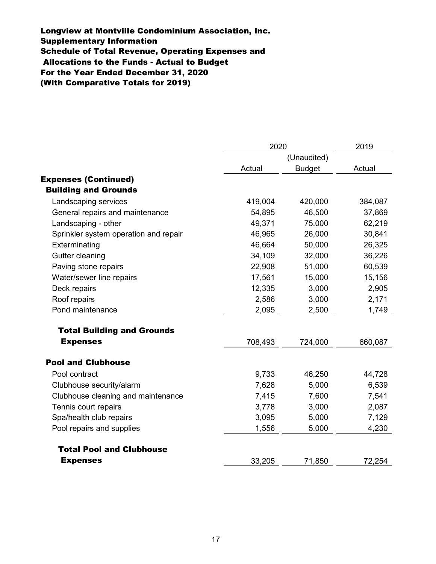(With Comparative Totals for 2019) Supplementary Information Allocations to the Funds - Actual to Budget Schedule of Total Revenue, Operating Expenses and For the Year Ended December 31, 2020 Longview at Montville Condominium Association, Inc.

|                                       | 2020    | 2019          |         |  |
|---------------------------------------|---------|---------------|---------|--|
|                                       |         | (Unaudited)   |         |  |
|                                       | Actual  | <b>Budget</b> | Actual  |  |
| <b>Expenses (Continued)</b>           |         |               |         |  |
| <b>Building and Grounds</b>           |         |               |         |  |
| Landscaping services                  | 419,004 | 420,000       | 384,087 |  |
| General repairs and maintenance       | 54,895  | 46,500        | 37,869  |  |
| Landscaping - other                   | 49,371  | 75,000        | 62,219  |  |
| Sprinkler system operation and repair | 46,965  | 26,000        | 30,841  |  |
| Exterminating                         | 46,664  | 50,000        | 26,325  |  |
| Gutter cleaning                       | 34,109  | 32,000        | 36,226  |  |
| Paving stone repairs                  | 22,908  | 51,000        | 60,539  |  |
| Water/sewer line repairs              | 17,561  | 15,000        | 15,156  |  |
| Deck repairs                          | 12,335  | 3,000         | 2,905   |  |
| Roof repairs                          | 2,586   | 3,000         | 2,171   |  |
| Pond maintenance                      | 2,095   | 2,500         | 1,749   |  |
| <b>Total Building and Grounds</b>     |         |               |         |  |
| <b>Expenses</b>                       | 708,493 | 724,000       | 660,087 |  |
| <b>Pool and Clubhouse</b>             |         |               |         |  |
| Pool contract                         | 9,733   | 46,250        | 44,728  |  |
| Clubhouse security/alarm              | 7,628   | 5,000         | 6,539   |  |
| Clubhouse cleaning and maintenance    | 7,415   | 7,600         | 7,541   |  |
| Tennis court repairs                  | 3,778   | 3,000         | 2,087   |  |
| Spa/health club repairs               | 3,095   | 5,000         | 7,129   |  |
| Pool repairs and supplies             | 1,556   | 5,000         | 4,230   |  |
| <b>Total Pool and Clubhouse</b>       |         |               |         |  |
| <b>Expenses</b>                       | 33,205  | 71,850        | 72,254  |  |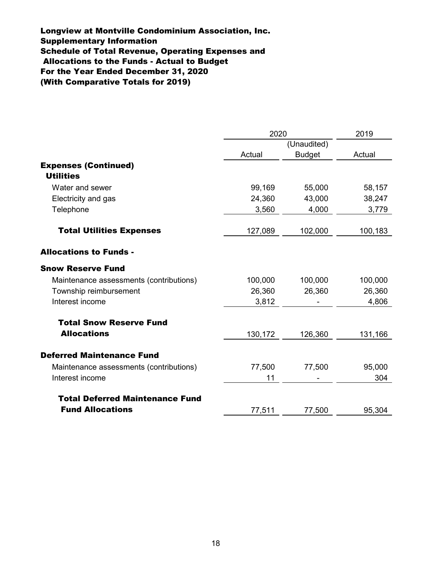Schedule of Total Revenue, Operating Expenses and Allocations to the Funds - Actual to Budget For the Year Ended December 31, 2020 Supplementary Information Longview at Montville Condominium Association, Inc. (With Comparative Totals for 2019)

|                                         | 2020    |               | 2019    |
|-----------------------------------------|---------|---------------|---------|
|                                         |         | (Unaudited)   |         |
|                                         | Actual  | <b>Budget</b> | Actual  |
| <b>Expenses (Continued)</b>             |         |               |         |
| <b>Utilities</b>                        |         |               |         |
| Water and sewer                         | 99,169  | 55,000        | 58,157  |
| Electricity and gas                     | 24,360  | 43,000        | 38,247  |
| Telephone                               | 3,560   | 4,000         | 3,779   |
| <b>Total Utilities Expenses</b>         | 127,089 | 102,000       | 100,183 |
| <b>Allocations to Funds -</b>           |         |               |         |
| <b>Snow Reserve Fund</b>                |         |               |         |
| Maintenance assessments (contributions) | 100,000 | 100,000       | 100,000 |
| Township reimbursement                  | 26,360  | 26,360        | 26,360  |
| Interest income                         | 3,812   |               | 4,806   |
| <b>Total Snow Reserve Fund</b>          |         |               |         |
| <b>Allocations</b>                      | 130,172 | 126,360       | 131,166 |
| <b>Deferred Maintenance Fund</b>        |         |               |         |
| Maintenance assessments (contributions) | 77,500  | 77,500        | 95,000  |
| Interest income                         | 11      |               | 304     |
| <b>Total Deferred Maintenance Fund</b>  |         |               |         |
| <b>Fund Allocations</b>                 | 77,511  | 77,500        | 95,304  |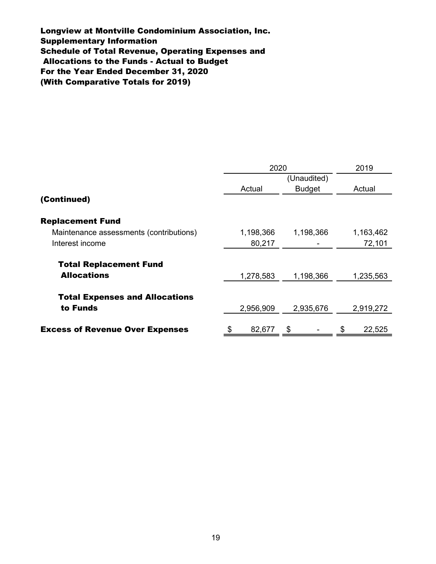Longview at Montville Condominium Association, Inc. Schedule of Total Revenue, Operating Expenses and Supplementary Information Allocations to the Funds - Actual to Budget For the Year Ended December 31, 2020 (With Comparative Totals for 2019)

|                                         | 2020<br>(Unaudited) |           |               |           | 2019   |           |
|-----------------------------------------|---------------------|-----------|---------------|-----------|--------|-----------|
|                                         |                     |           |               |           |        |           |
|                                         | Actual              |           | <b>Budget</b> |           | Actual |           |
| (Continued)                             |                     |           |               |           |        |           |
| <b>Replacement Fund</b>                 |                     |           |               |           |        |           |
| Maintenance assessments (contributions) |                     | 1,198,366 |               | 1,198,366 |        | 1,163,462 |
| Interest income                         |                     | 80,217    |               |           |        | 72,101    |
| <b>Total Replacement Fund</b>           |                     |           |               |           |        |           |
| <b>Allocations</b>                      |                     | 1,278,583 |               | 1,198,366 |        | 1,235,563 |
| <b>Total Expenses and Allocations</b>   |                     |           |               |           |        |           |
| to Funds                                |                     | 2,956,909 |               | 2,935,676 |        | 2,919,272 |
|                                         |                     |           |               |           |        |           |
| <b>Excess of Revenue Over Expenses</b>  |                     | 82,677    |               |           |        | 22,525    |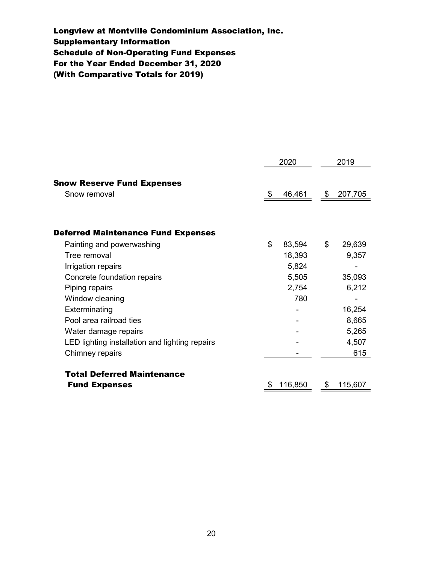For the Year Ended December 31, 2020 Longview at Montville Condominium Association, Inc. Schedule of Non-Operating Fund Expenses (With Comparative Totals for 2019) Supplementary Information

|                                                |    | 2020    |               | 2019    |  |
|------------------------------------------------|----|---------|---------------|---------|--|
|                                                |    |         |               |         |  |
| <b>Snow Reserve Fund Expenses</b>              |    |         |               |         |  |
| Snow removal                                   | \$ | 46,461  | $\sqrt[6]{2}$ | 207,705 |  |
|                                                |    |         |               |         |  |
| <b>Deferred Maintenance Fund Expenses</b>      |    |         |               |         |  |
| Painting and powerwashing                      | \$ | 83,594  | \$            | 29,639  |  |
| Tree removal                                   |    | 18,393  |               | 9,357   |  |
| Irrigation repairs                             |    | 5,824   |               |         |  |
| Concrete foundation repairs                    |    | 5,505   |               | 35,093  |  |
| Piping repairs                                 |    | 2,754   |               | 6,212   |  |
| Window cleaning                                |    | 780     |               |         |  |
| Exterminating                                  |    |         |               | 16,254  |  |
| Pool area railroad ties                        |    |         |               | 8,665   |  |
| Water damage repairs                           |    |         |               | 5,265   |  |
| LED lighting installation and lighting repairs |    |         |               | 4,507   |  |
| Chimney repairs                                |    |         |               | 615     |  |
| <b>Total Deferred Maintenance</b>              |    |         |               |         |  |
| <b>Fund Expenses</b>                           | S  | 116,850 | \$            | 115,607 |  |